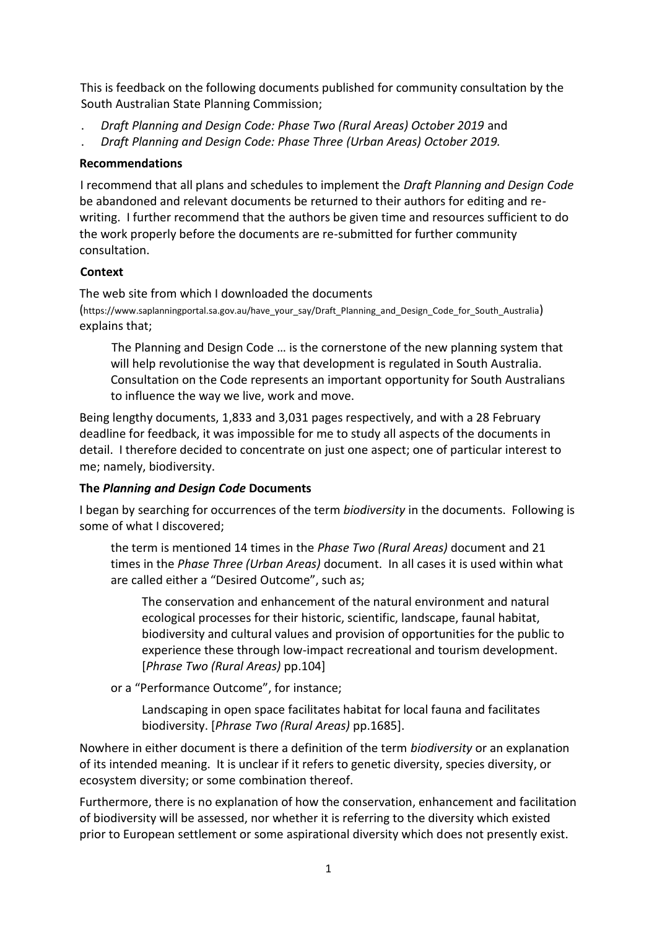This is feedback on the following documents published for community consultation by the South Australian State Planning Commission;

- . *Draft Planning and Design Code: Phase Two (Rural Areas) October 2019* and
- . *Draft Planning and Design Code: Phase Three (Urban Areas) October 2019.*

# **Recommendations**

I recommend that all plans and schedules to implement the *Draft Planning and Design Code* be abandoned and relevant documents be returned to their authors for editing and rewriting. I further recommend that the authors be given time and resources sufficient to do the work properly before the documents are re-submitted for further community consultation.

# **Context**

The web site from which I downloaded the documents (https://www.saplanningportal.sa.gov.au/have\_your\_say/Draft\_Planning\_and\_Design\_Code\_for\_South\_Australia) explains that;

The Planning and Design Code … is the cornerstone of the new planning system that will help revolutionise the way that development is regulated in South Australia. Consultation on the Code represents an important opportunity for South Australians to influence the way we live, work and move.

Being lengthy documents, 1,833 and 3,031 pages respectively, and with a 28 February deadline for feedback, it was impossible for me to study all aspects of the documents in detail. I therefore decided to concentrate on just one aspect; one of particular interest to me; namely, biodiversity.

# **The** *Planning and Design Code* **Documents**

I began by searching for occurrences of the term *biodiversity* in the documents. Following is some of what I discovered;

the term is mentioned 14 times in the *Phase Two (Rural Areas)* document and 21 times in the *Phase Three (Urban Areas)* document. In all cases it is used within what are called either a "Desired Outcome", such as;

The conservation and enhancement of the natural environment and natural ecological processes for their historic, scientific, landscape, faunal habitat, biodiversity and cultural values and provision of opportunities for the public to experience these through low-impact recreational and tourism development. [*Phrase Two (Rural Areas)* pp.104]

or a "Performance Outcome", for instance;

Landscaping in open space facilitates habitat for local fauna and facilitates biodiversity. [*Phrase Two (Rural Areas)* pp.1685].

Nowhere in either document is there a definition of the term *biodiversity* or an explanation of its intended meaning. It is unclear if it refers to genetic diversity, species diversity, or ecosystem diversity; or some combination thereof.

Furthermore, there is no explanation of how the conservation, enhancement and facilitation of biodiversity will be assessed, nor whether it is referring to the diversity which existed prior to European settlement or some aspirational diversity which does not presently exist.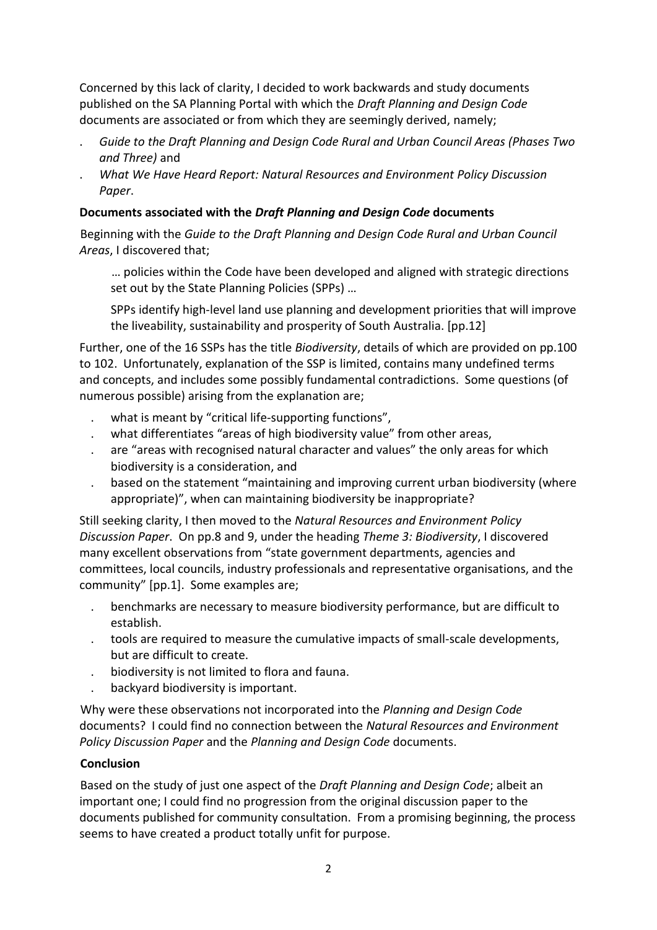Concerned by this lack of clarity, I decided to work backwards and study documents published on the SA Planning Portal with which the *Draft Planning and Design Code* documents are associated or from which they are seemingly derived, namely;

- . *Guide to the Draft Planning and Design Code Rural and Urban Council Areas (Phases Two and Three)* and
- . *What We Have Heard Report: Natural Resources and Environment Policy Discussion Paper*.

# **Documents associated with the** *Draft Planning and Design Code* **documents**

Beginning with the *Guide to the Draft Planning and Design Code Rural and Urban Council Areas*, I discovered that;

… policies within the Code have been developed and aligned with strategic directions set out by the State Planning Policies (SPPs) …

SPPs identify high-level land use planning and development priorities that will improve the liveability, sustainability and prosperity of South Australia. [pp.12]

Further, one of the 16 SSPs has the title *Biodiversity*, details of which are provided on pp.100 to 102. Unfortunately, explanation of the SSP is limited, contains many undefined terms and concepts, and includes some possibly fundamental contradictions. Some questions (of numerous possible) arising from the explanation are;

- what is meant by "critical life-supporting functions",
- what differentiates "areas of high biodiversity value" from other areas,
- . are "areas with recognised natural character and values" the only areas for which biodiversity is a consideration, and
- . based on the statement "maintaining and improving current urban biodiversity (where appropriate)", when can maintaining biodiversity be inappropriate?

Still seeking clarity, I then moved to the *Natural Resources and Environment Policy Discussion Paper*. On pp.8 and 9, under the heading *Theme 3: Biodiversity*, I discovered many excellent observations from "state government departments, agencies and committees, local councils, industry professionals and representative organisations, and the community" [pp.1]. Some examples are;

- . benchmarks are necessary to measure biodiversity performance, but are difficult to establish.
- . tools are required to measure the cumulative impacts of small-scale developments, but are difficult to create.
- . biodiversity is not limited to flora and fauna.
- . backyard biodiversity is important.

Why were these observations not incorporated into the *Planning and Design Code* documents? I could find no connection between the *Natural Resources and Environment Policy Discussion Paper* and the *Planning and Design Code* documents.

### **Conclusion**

Based on the study of just one aspect of the *Draft Planning and Design Code*; albeit an important one; I could find no progression from the original discussion paper to the documents published for community consultation. From a promising beginning, the process seems to have created a product totally unfit for purpose.